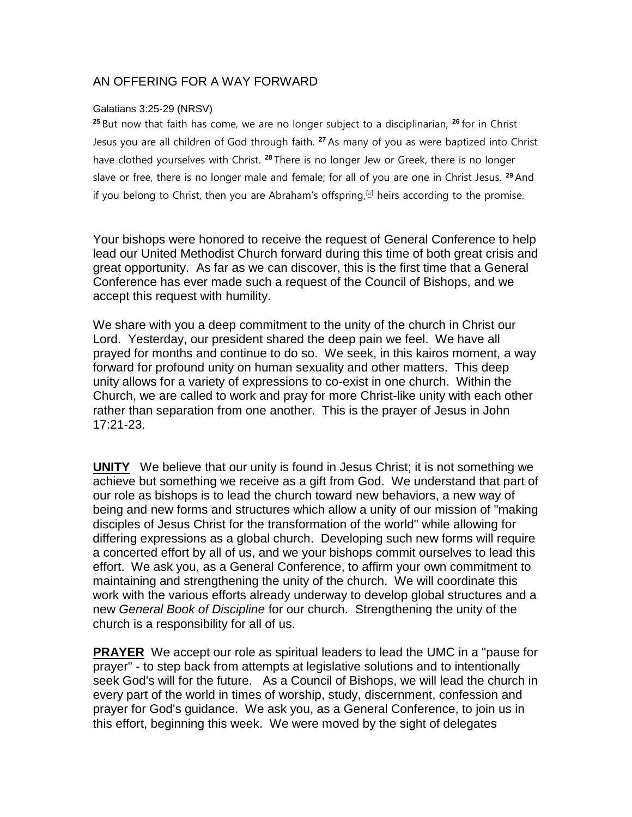## AN OFFERING FOR A WAY FORWARD

## Galatians 3:25-29 (NRSV)

**<sup>25</sup>** But now that faith has come, we are no longer subject to a disciplinarian, **<sup>26</sup>** for in Christ Jesus you are all children of God through faith. **<sup>27</sup>** As many of you as were baptized into Christ have clothed yourselves with Christ. **<sup>28</sup>** There is no longer Jew or Greek, there is no longer slave or free, there is no longer male and female; for all of you are one in Christ Jesus. **<sup>29</sup>** And if you belong to Christ, then you are Abraham's offspring,  $[a]$  heirs according to the promise.

Your bishops were honored to receive the request of General Conference to help lead our United Methodist Church forward during this time of both great crisis and great opportunity. As far as we can discover, this is the first time that a General Conference has ever made such a request of the Council of Bishops, and we accept this request with humility.

We share with you a deep commitment to the unity of the church in Christ our Lord. Yesterday, our president shared the deep pain we feel. We have all prayed for months and continue to do so. We seek, in this kairos moment, a way forward for profound unity on human sexuality and other matters. This deep unity allows for a variety of expressions to co-exist in one church. Within the Church, we are called to work and pray for more Christ-like unity with each other rather than separation from one another. This is the prayer of Jesus in John 17:21-23.

**UNITY** We believe that our unity is found in Jesus Christ; it is not something we achieve but something we receive as a gift from God. We understand that part of our role as bishops is to lead the church toward new behaviors, a new way of being and new forms and structures which allow a unity of our mission of "making disciples of Jesus Christ for the transformation of the world" while allowing for differing expressions as a global church. Developing such new forms will require a concerted effort by all of us, and we your bishops commit ourselves to lead this effort. We ask you, as a General Conference, to affirm your own commitment to maintaining and strengthening the unity of the church. We will coordinate this work with the various efforts already underway to develop global structures and a new *General Book of Discipline* for our church. Strengthening the unity of the church is a responsibility for all of us.

**PRAYER** We accept our role as spiritual leaders to lead the UMC in a "pause for prayer" - to step back from attempts at legislative solutions and to intentionally seek God's will for the future. As a Council of Bishops, we will lead the church in every part of the world in times of worship, study, discernment, confession and prayer for God's guidance. We ask you, as a General Conference, to join us in this effort, beginning this week. We were moved by the sight of delegates